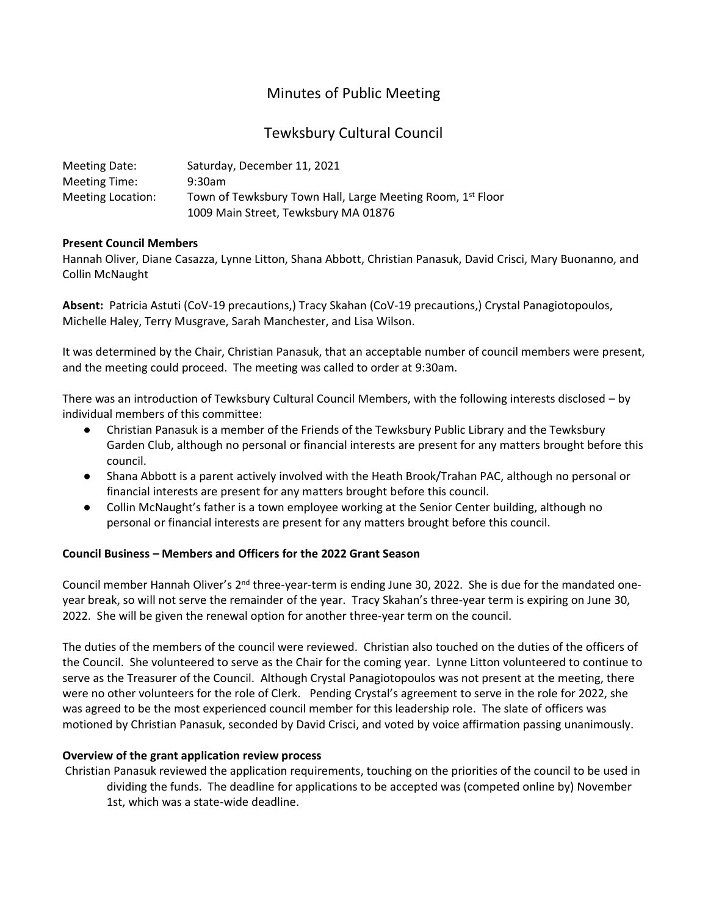# Minutes of Public Meeting

# Tewksbury Cultural Council

| Meeting Date:     | Saturday, December 11, 2021                                |
|-------------------|------------------------------------------------------------|
| Meeting Time:     | $9:30$ am                                                  |
| Meeting Location: | Town of Tewksbury Town Hall, Large Meeting Room, 1st Floor |
|                   | 1009 Main Street, Tewksbury MA 01876                       |

#### **Present Council Members**

Hannah Oliver, Diane Casazza, Lynne Litton, Shana Abbott, Christian Panasuk, David Crisci, Mary Buonanno, and Collin McNaught

**Absent:** Patricia Astuti (CoV-19 precautions,) Tracy Skahan (CoV-19 precautions,) Crystal Panagiotopoulos, Michelle Haley, Terry Musgrave, Sarah Manchester, and Lisa Wilson.

It was determined by the Chair, Christian Panasuk, that an acceptable number of council members were present, and the meeting could proceed. The meeting was called to order at 9:30am.

There was an introduction of Tewksbury Cultural Council Members, with the following interests disclosed – by individual members of this committee:

- Christian Panasuk is a member of the Friends of the Tewksbury Public Library and the Tewksbury Garden Club, although no personal or financial interests are present for any matters brought before this council.
- Shana Abbott is a parent actively involved with the Heath Brook/Trahan PAC, although no personal or financial interests are present for any matters brought before this council.
- Collin McNaught's father is a town employee working at the Senior Center building, although no personal or financial interests are present for any matters brought before this council.

# **Council Business – Members and Officers for the 2022 Grant Season**

Council member Hannah Oliver's 2<sup>nd</sup> three-year-term is ending June 30, 2022. She is due for the mandated oneyear break, so will not serve the remainder of the year. Tracy Skahan's three-year term is expiring on June 30, 2022. She will be given the renewal option for another three-year term on the council.

The duties of the members of the council were reviewed. Christian also touched on the duties of the officers of the Council. She volunteered to serve as the Chair for the coming year. Lynne Litton volunteered to continue to serve as the Treasurer of the Council. Although Crystal Panagiotopoulos was not present at the meeting, there were no other volunteers for the role of Clerk. Pending Crystal's agreement to serve in the role for 2022, she was agreed to be the most experienced council member for this leadership role. The slate of officers was motioned by Christian Panasuk, seconded by David Crisci, and voted by voice affirmation passing unanimously.

# **Overview of the grant application review process**

Christian Panasuk reviewed the application requirements, touching on the priorities of the council to be used in dividing the funds. The deadline for applications to be accepted was (competed online by) November 1st, which was a state-wide deadline.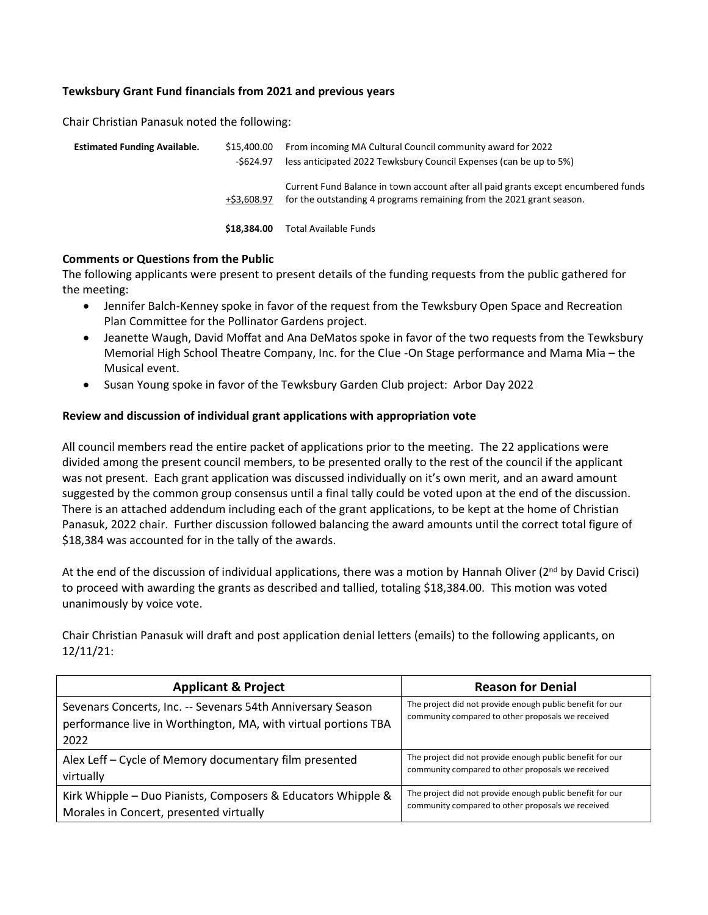#### **Tewksbury Grant Fund financials from 2021 and previous years**

Chair Christian Panasuk noted the following:

| <b>Estimated Funding Available.</b> | \$15,400.00<br>-\$624.97 | From incoming MA Cultural Council community award for 2022<br>less anticipated 2022 Tewksbury Council Expenses (can be up to 5%)                           |
|-------------------------------------|--------------------------|------------------------------------------------------------------------------------------------------------------------------------------------------------|
|                                     | +S3.608.97               | Current Fund Balance in town account after all paid grants except encumbered funds<br>for the outstanding 4 programs remaining from the 2021 grant season. |
|                                     | \$18,384,00              | Total Available Funds                                                                                                                                      |

#### **Comments or Questions from the Public**

The following applicants were present to present details of the funding requests from the public gathered for the meeting:

- Jennifer Balch-Kenney spoke in favor of the request from the Tewksbury Open Space and Recreation Plan Committee for the Pollinator Gardens project.
- Jeanette Waugh, David Moffat and Ana DeMatos spoke in favor of the two requests from the Tewksbury Memorial High School Theatre Company, Inc. for the Clue -On Stage performance and Mama Mia – the Musical event.
- Susan Young spoke in favor of the Tewksbury Garden Club project: Arbor Day 2022

### **Review and discussion of individual grant applications with appropriation vote**

All council members read the entire packet of applications prior to the meeting. The 22 applications were divided among the present council members, to be presented orally to the rest of the council if the applicant was not present. Each grant application was discussed individually on it's own merit, and an award amount suggested by the common group consensus until a final tally could be voted upon at the end of the discussion. There is an attached addendum including each of the grant applications, to be kept at the home of Christian Panasuk, 2022 chair. Further discussion followed balancing the award amounts until the correct total figure of \$18,384 was accounted for in the tally of the awards.

At the end of the discussion of individual applications, there was a motion by Hannah Oliver ( $2^{nd}$  by David Crisci) to proceed with awarding the grants as described and tallied, totaling \$18,384.00. This motion was voted unanimously by voice vote.

Chair Christian Panasuk will draft and post application denial letters (emails) to the following applicants, on 12/11/21:

| <b>Applicant &amp; Project</b>                                                                                                        | <b>Reason for Denial</b>                                                                                       |  |
|---------------------------------------------------------------------------------------------------------------------------------------|----------------------------------------------------------------------------------------------------------------|--|
| Sevenars Concerts, Inc. -- Sevenars 54th Anniversary Season<br>performance live in Worthington, MA, with virtual portions TBA<br>2022 | The project did not provide enough public benefit for our<br>community compared to other proposals we received |  |
| Alex Leff - Cycle of Memory documentary film presented                                                                                | The project did not provide enough public benefit for our                                                      |  |
| virtually                                                                                                                             | community compared to other proposals we received                                                              |  |
| Kirk Whipple - Duo Pianists, Composers & Educators Whipple &                                                                          | The project did not provide enough public benefit for our                                                      |  |
| Morales in Concert, presented virtually                                                                                               | community compared to other proposals we received                                                              |  |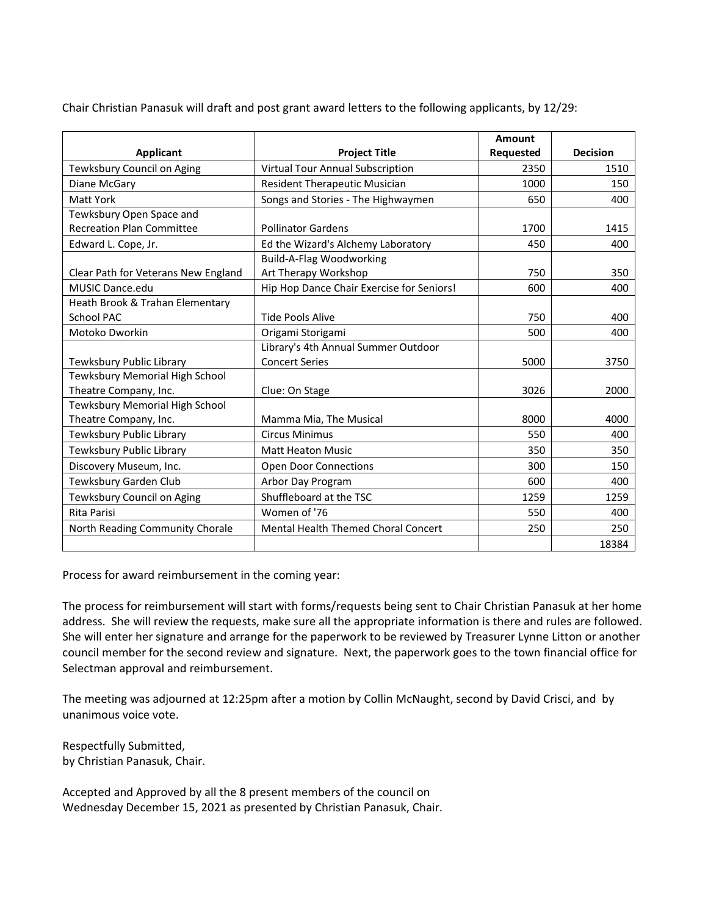Chair Christian Panasuk will draft and post grant award letters to the following applicants, by 12/29:

|                                     |                                           | Amount    |                 |
|-------------------------------------|-------------------------------------------|-----------|-----------------|
| <b>Applicant</b>                    | <b>Project Title</b>                      | Requested | <b>Decision</b> |
| Tewksbury Council on Aging          | Virtual Tour Annual Subscription          | 2350      | 1510            |
| Diane McGary                        | <b>Resident Therapeutic Musician</b>      | 1000      | 150             |
| <b>Matt York</b>                    | Songs and Stories - The Highwaymen        | 650       | 400             |
| Tewksbury Open Space and            |                                           |           |                 |
| <b>Recreation Plan Committee</b>    | <b>Pollinator Gardens</b>                 | 1700      | 1415            |
| Edward L. Cope, Jr.                 | Ed the Wizard's Alchemy Laboratory        | 450       | 400             |
|                                     | <b>Build-A-Flag Woodworking</b>           |           |                 |
| Clear Path for Veterans New England | Art Therapy Workshop                      | 750       | 350             |
| <b>MUSIC Dance edu</b>              | Hip Hop Dance Chair Exercise for Seniors! | 600       | 400             |
| Heath Brook & Trahan Elementary     |                                           |           |                 |
| <b>School PAC</b>                   | Tide Pools Alive                          | 750       | 400             |
| Motoko Dworkin                      | Origami Storigami                         | 500       | 400             |
|                                     | Library's 4th Annual Summer Outdoor       |           |                 |
| Tewksbury Public Library            | <b>Concert Series</b>                     | 5000      | 3750            |
| Tewksbury Memorial High School      |                                           |           |                 |
| Theatre Company, Inc.               | Clue: On Stage                            | 3026      | 2000            |
| Tewksbury Memorial High School      |                                           |           |                 |
| Theatre Company, Inc.               | Mamma Mia, The Musical                    | 8000      | 4000            |
| Tewksbury Public Library            | <b>Circus Minimus</b>                     | 550       | 400             |
| Tewksbury Public Library            | <b>Matt Heaton Music</b>                  | 350       | 350             |
| Discovery Museum, Inc.              | <b>Open Door Connections</b>              | 300       | 150             |
| Tewksbury Garden Club               | Arbor Day Program                         | 600       | 400             |
| Tewksbury Council on Aging          | Shuffleboard at the TSC                   | 1259      | 1259            |
| <b>Rita Parisi</b>                  | Women of '76                              | 550       | 400             |
| North Reading Community Chorale     | Mental Health Themed Choral Concert       | 250       | 250             |
|                                     |                                           |           | 18384           |

Process for award reimbursement in the coming year:

The process for reimbursement will start with forms/requests being sent to Chair Christian Panasuk at her home address. She will review the requests, make sure all the appropriate information is there and rules are followed. She will enter her signature and arrange for the paperwork to be reviewed by Treasurer Lynne Litton or another council member for the second review and signature. Next, the paperwork goes to the town financial office for Selectman approval and reimbursement.

The meeting was adjourned at 12:25pm after a motion by Collin McNaught, second by David Crisci, and by unanimous voice vote.

Respectfully Submitted, by Christian Panasuk, Chair.

Accepted and Approved by all the 8 present members of the council on Wednesday December 15, 2021 as presented by Christian Panasuk, Chair.